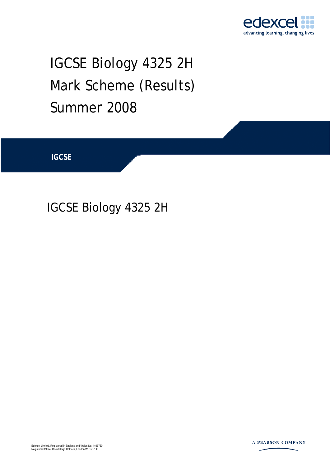

# IGCSE Biology 4325 2H Mark Scheme (Results) Summer 2008

**IGCSE** 

IGCSE Biology 4325 2H

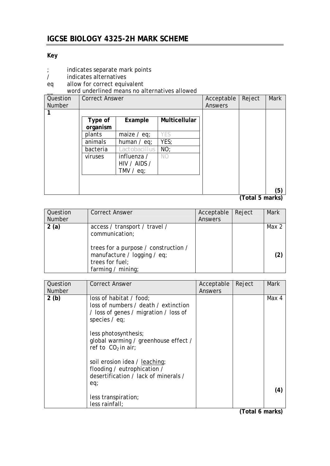#### **Key**

- ; indicates separate mark points
- / indicates alternatives
- eq allow for correct equivalent
- \_\_ word underlined means no alternatives allowed

| Question      | <b>Correct Answer</b> |               |               | Acceptable | Reject | Mark |
|---------------|-----------------------|---------------|---------------|------------|--------|------|
| <b>Number</b> |                       |               |               | Answers    |        |      |
|               |                       |               |               |            |        |      |
|               | Type of               | Example       | Multicellular |            |        |      |
|               | organism              |               |               |            |        |      |
|               | plants                | maize $/$ eq; | YES           |            |        |      |
|               | animals               | human $/$ eq; | YES;          |            |        |      |
|               | bacteria              | Lactobacillus | NO;           |            |        |      |
|               | viruses               | influenza /   | NO.           |            |        |      |
|               |                       | HIV / AIDS /  |               |            |        |      |
|               |                       | TMV $/$ eq;   |               |            |        |      |
|               |                       |               |               |            |        |      |
|               |                       |               |               |            |        |      |
|               |                       |               |               |            |        | (5)  |

**(Total 5 marks)** 

| Question<br><b>Number</b> | <b>Correct Answer</b>                                                                                                                                           | Acceptable<br>Answers | Reject | Mark  |
|---------------------------|-----------------------------------------------------------------------------------------------------------------------------------------------------------------|-----------------------|--------|-------|
| 2(a)                      | access / transport / travel /<br>communication;<br>trees for a purpose / construction /<br>manufacture / logging / eq;<br>trees for fuel;<br>farming / $minq$ ; |                       |        | Max 2 |

| Question<br><b>Number</b> | <b>Correct Answer</b>                                                                                                       | Acceptable<br>Answers | Reject | Mark  |
|---------------------------|-----------------------------------------------------------------------------------------------------------------------------|-----------------------|--------|-------|
| 2(b)                      | loss of habitat / food;<br>loss of numbers / death / extinction<br>/ loss of genes / migration / loss of<br>species $/$ eq; |                       |        | Max 4 |
|                           | less photosynthesis;<br>global warming / greenhouse effect /<br>ref to $CO2$ in air;                                        |                       |        |       |
|                           | soil erosion idea / leaching;<br>flooding / eutrophication /<br>desertification / lack of minerals /                        |                       |        |       |
|                           | eq;<br>less transpiration;<br>less rainfall;                                                                                |                       |        | (4)   |

**(Total 6 marks)**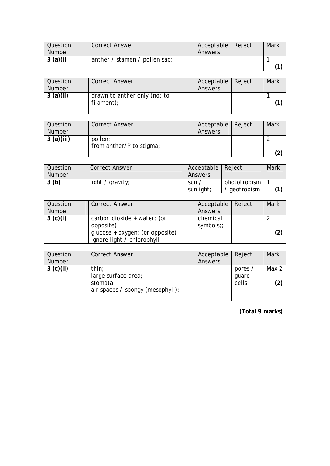| Question      | <b>Correct Answer</b>         | Acceptable   Reject | <b>Mark</b> |
|---------------|-------------------------------|---------------------|-------------|
| <b>Number</b> |                               | Answers             |             |
| 3(a)(i)       | anther / stamen / pollen sac; |                     |             |
|               |                               |                     |             |

| Question<br><b>Number</b> | <b>Correct Answer</b>                      | Acceptable   Reject<br>Answers | Mark |
|---------------------------|--------------------------------------------|--------------------------------|------|
| 3(a)(ii)                  | drawn to anther only (not to<br>filament); |                                |      |

| Question      | <b>Correct Answer</b>    | Acceptable   Reject | Mark |
|---------------|--------------------------|---------------------|------|
| <b>Number</b> |                          | Answers             |      |
| 3(a)(iii)     | pollen;                  |                     |      |
|               | from anther/P to stigma; |                     |      |
|               |                          |                     |      |

| Question | <b>Correct Answer</b> | Acceptable   Reject |              | Mark |
|----------|-----------------------|---------------------|--------------|------|
| Number   |                       | Answers             |              |      |
| 3(b)     | light / gravity;      | sun,                | phototropism |      |
|          |                       | sunlight;           | aeotropism   | 74   |

| Question      | <b>Correct Answer</b>           | Acceptable   Reject | Mark |
|---------------|---------------------------------|---------------------|------|
| <b>Number</b> |                                 | Answers             |      |
| 3 (c)(i)      | carbon dioxide + water; (or     | chemical            |      |
|               | opposite)                       | symbols;;           |      |
|               | glucose + oxygen; (or opposite) |                     |      |
|               | Ignore light / chlorophyll      |                     |      |

| Question<br><b>Number</b> | <b>Correct Answer</b>                        | Acceptable<br>Answers | Reject           | <b>Mark</b> |
|---------------------------|----------------------------------------------|-----------------------|------------------|-------------|
| 3 (c)(ii)                 | thin;<br>large surface area;                 |                       | pores /<br>guard | Max 2       |
|                           | stomata;<br>air spaces / spongy (mesophyll); |                       | cells            | (2)         |

**(Total 9 marks)**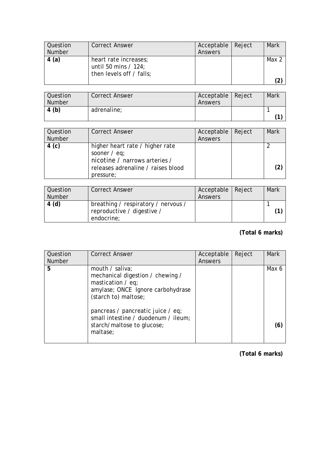| <b>Question</b><br>Number | <b>Correct Answer</b>                                                       | Acceptable   Reject<br>Answers | Mark  |
|---------------------------|-----------------------------------------------------------------------------|--------------------------------|-------|
| 4(a)                      | heart rate increases;<br>until 50 mins $/$ 124;<br>then levels off / falls; |                                | Max 2 |

| Question<br><b>Number</b> | <b>Correct Answer</b> | Acceptable<br>Answers | Reject | Mark |
|---------------------------|-----------------------|-----------------------|--------|------|
| 4(b)                      | adrenaline;           |                       |        |      |

| Question<br><b>Number</b> | <b>Correct Answer</b>                                                                                                                 | Acceptable<br>Answers | Reject | Mark |
|---------------------------|---------------------------------------------------------------------------------------------------------------------------------------|-----------------------|--------|------|
| 4 (c)                     | higher heart rate / higher rate<br>sooner $/$ eq;<br>nicotine / narrows arteries /<br>releases adrenaline / raises blood<br>pressure; |                       |        |      |

| Question<br>Number | <b>Correct Answer</b>                                                           | Acceptable   Reject<br>Answers | <b>Mark</b> |
|--------------------|---------------------------------------------------------------------------------|--------------------------------|-------------|
| 4(d)               | breathing / respiratory / nervous /<br>reproductive / digestive /<br>endocrine; |                                |             |

## **(Total 6 marks)**

| Question      | <b>Correct Answer</b>                                                                                                                      | Acceptable | Reject | <b>Mark</b> |
|---------------|--------------------------------------------------------------------------------------------------------------------------------------------|------------|--------|-------------|
| <b>Number</b> |                                                                                                                                            | Answers    |        |             |
| 5             | mouth / saliva;<br>mechanical digestion / chewing /<br>mastication $\ell$ eq;<br>amylase; ONCE Ignore carbohydrase<br>(starch to) maltose; |            |        | Max 6       |
|               | pancreas / pancreatic juice / eq;<br>small intestine / duodenum / ileum;<br>starch/maltose to glucose;<br>maltase;                         |            |        |             |

**(Total 6 marks)**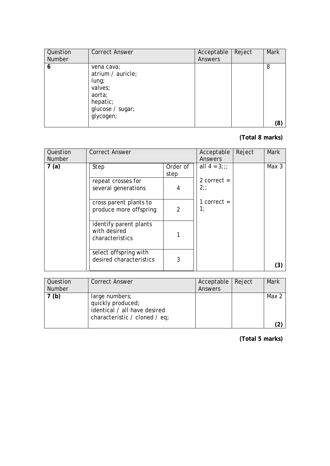| Question      | <b>Correct Answer</b>                                                                                         | Acceptable | Reject | <b>Mark</b> |
|---------------|---------------------------------------------------------------------------------------------------------------|------------|--------|-------------|
| <b>Number</b> |                                                                                                               | Answers    |        |             |
| 6             | vena cava;<br>atrium / auricle;<br>$l$ ung;<br>valves;<br>aorta;<br>hepatic;<br>glucose / sugar;<br>glycogen; |            |        | 8<br>(8)    |

## **(Total 8 marks)**

| Question<br><b>Number</b> | <b>Correct Answer</b>                                     |                  | Acceptable<br>Answers | Reject | <b>Mark</b>      |
|---------------------------|-----------------------------------------------------------|------------------|-----------------------|--------|------------------|
| 7(a)                      | Step                                                      | Order of<br>step | all $4 = 3$ ;;;       |        | Max <sub>3</sub> |
|                           | repeat crosses for<br>several generations                 | 4                | 2 correct $=$<br>2:   |        |                  |
|                           | cross parent plants to<br>produce more offspring          | $\overline{2}$   | 1 correct $=$<br>1:   |        |                  |
|                           | identify parent plants<br>with desired<br>characteristics |                  |                       |        |                  |
|                           | select offspring with<br>desired characteristics          | 3                |                       |        | (3)              |

| Question<br><b>Number</b> | <b>Correct Answer</b>                                                                                | Acceptable   Reject<br>Answers | Mark  |
|---------------------------|------------------------------------------------------------------------------------------------------|--------------------------------|-------|
| (b)                       | large numbers;<br>quickly produced;<br>identical / all have desired<br>characteristic / cloned / eq; |                                | Max 2 |

**(Total 5 marks)**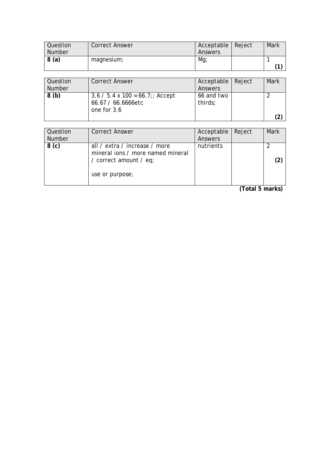| Question | <b>Correct Answer</b> | Acceptable   Reject | Mark |
|----------|-----------------------|---------------------|------|
| Number   |                       | Answers             |      |
| 8(a)     | magnesium;            | Mg                  |      |
|          |                       |                     | 74   |

| Question<br><b>Number</b> | <b>Correct Answer</b>                                                        | Acceptable Reject<br>Answers | Mark |
|---------------------------|------------------------------------------------------------------------------|------------------------------|------|
| 8(b)                      | $3.6 / 5.4 \times 100 = 66.7$ ;; Accept<br>66.67 / 66.6666etc<br>one for 3.6 | 66 and two<br>thirds;        |      |

| Question<br>Number | <b>Correct Answer</b>                                                                                           | Acceptable<br>Answers | Reject | <b>Mark</b> |
|--------------------|-----------------------------------------------------------------------------------------------------------------|-----------------------|--------|-------------|
| 8 <sub>(c)</sub>   | all / extra / increase / more<br>mineral ions / more named mineral<br>/ correct amount / eq;<br>use or purpose; | nutrients             |        | (2)         |

**(Total 5 marks)**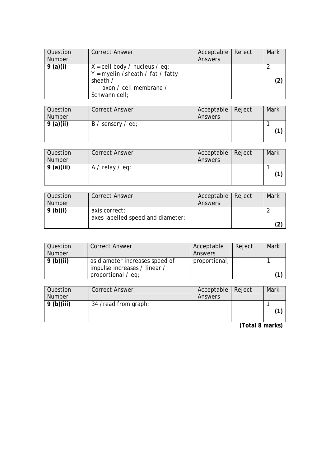| <b>Question</b> | <b>Correct Answer</b>                                                                                                                                | Acceptable   Reject | Mark |
|-----------------|------------------------------------------------------------------------------------------------------------------------------------------------------|---------------------|------|
| <b>Number</b>   |                                                                                                                                                      | Answers             |      |
| 9 (a)(i)        | $X = \text{cell body } / \text{ nucleus } / \text{ eq};$<br>$Y = myelin / sheath / fat / fat$<br>sheath /<br>axon / cell membrane /<br>Schwann cell; |                     |      |

| Question<br><b>Number</b> | <b>Correct Answer</b>           | Acceptable   Reject<br>Answers | Mark |
|---------------------------|---------------------------------|--------------------------------|------|
| 9(a)(ii)                  | $B /$ sensory $\frac{1}{2}$ eq; |                                |      |

| Question<br><b>Number</b> | <b>Correct Answer</b> | Acceptable   Reject<br>Answers | Mark |
|---------------------------|-----------------------|--------------------------------|------|
| 9(a)(iii)                 | $A /$ relay $/$ eq;   |                                |      |

| Question      | <b>Correct Answer</b>             | Acceptable   Reject | Mark |
|---------------|-----------------------------------|---------------------|------|
| <b>Number</b> |                                   | Answers             |      |
| 9(b)(i)       | axis correct;                     |                     |      |
|               | axes labelled speed and diameter; |                     |      |
|               |                                   |                     |      |

| Question      | <b>Correct Answer</b>                                                                       | Acceptable    | Reject | <b>Mark</b> |
|---------------|---------------------------------------------------------------------------------------------|---------------|--------|-------------|
| <b>Number</b> |                                                                                             | Answers       |        |             |
| 9(b)(ii)      | as diameter increases speed of<br>impulse increases / linear /<br>proportional $\angle$ eq; | proportional; |        |             |

| Question<br><b>Number</b> | <b>Correct Answer</b> | Acceptable   Reject<br>Answers | Mark |
|---------------------------|-----------------------|--------------------------------|------|
| 9(b)(iii)                 | 34 /read from graph;  |                                |      |

**(Total 8 marks)**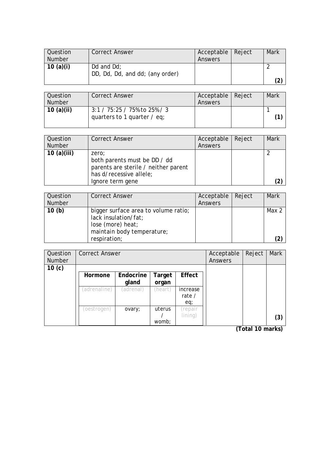| Question      | <b>Correct Answer</b>           | Acceptable   Reject | Mark |
|---------------|---------------------------------|---------------------|------|
| <b>Number</b> |                                 | Answers             |      |
| 10 $(a)(i)$   | Dd and $Dd$ :                   |                     |      |
|               | DD, Dd, Dd, and dd; (any order) |                     |      |
|               |                                 |                     | (2   |

| Question<br><b>Number</b> | <b>Correct Answer</b>                                               | Acceptable   Reject<br>Answers | Mark |
|---------------------------|---------------------------------------------------------------------|--------------------------------|------|
| 10 $(a)(ii)$              | $3:1 / 75:25 / 75\%$ to 25% / 3<br>quarters to 1 quarter $\ell$ eq; |                                |      |

| Question<br><b>Number</b> | <b>Correct Answer</b>                                                                                                        | Acceptable   Reject<br>Answers | Mark |
|---------------------------|------------------------------------------------------------------------------------------------------------------------------|--------------------------------|------|
| 10 $(a)(iii)$             | zero;<br>both parents must be DD / dd<br>parents are sterile / neither parent<br>has d/recessive allele;<br>Ignore term gene |                                |      |

| <b>Question</b> | <b>Correct Answer</b>                                                                                           | Acceptable | Reject | Mark  |
|-----------------|-----------------------------------------------------------------------------------------------------------------|------------|--------|-------|
| Number          |                                                                                                                 | Answers    |        |       |
| 10(b)           | bigger surface area to volume ratio;<br>lack insulation/fat;<br>lose (more) heat;<br>maintain body temperature; |            |        | Max 2 |
|                 | respiration;                                                                                                    |            |        |       |

| Question          | <b>Correct Answer</b> |           |         |               | Acceptable | Reject | Mark |
|-------------------|-----------------------|-----------|---------|---------------|------------|--------|------|
| <b>Number</b>     |                       |           |         |               | Answers    |        |      |
| 10 <sub>(c)</sub> |                       |           |         |               |            |        |      |
|                   | Hormone               | Endocrine | Target  | Effect        |            |        |      |
|                   |                       | gland     | organ   |               |            |        |      |
|                   | (adrenaline)          | (adrenal) | (heart) | increase      |            |        |      |
|                   |                       |           |         | rate $\prime$ |            |        |      |
|                   |                       |           |         | eq;           |            |        |      |
|                   | (oestrogen)           | ovary;    | uterus  | (repair       |            |        |      |
|                   |                       |           |         | lining)       |            |        | (3)  |
|                   |                       |           | womb;   |               |            |        |      |

**(Total 10 marks)**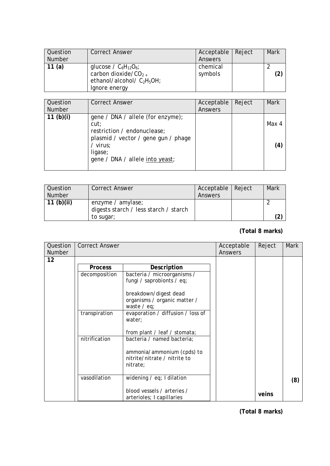| <b>Question</b><br><b>Number</b> | <b>Correct Answer</b>                                                                                     | Acceptable   Reject<br>Answers | Mark |
|----------------------------------|-----------------------------------------------------------------------------------------------------------|--------------------------------|------|
| 11 $(a)$                         | glucose / $C_6H_{12}O_6$ ;<br>carbon dioxide/ $CO_{2+}$<br>ethanol/alcohol/ $C_2H_5OH$ ;<br>Ignore energy | chemical<br>symbols            |      |

| Question<br><b>Number</b> | <b>Correct Answer</b>                                                                                                                                                     | Acceptable<br>Answers | Reject | <b>Mark</b>  |
|---------------------------|---------------------------------------------------------------------------------------------------------------------------------------------------------------------------|-----------------------|--------|--------------|
| 11 $(b)(i)$               | gene / DNA / allele (for enzyme);<br>cut:<br>restriction / endonuclease;<br>plasmid / vector / gene gun / phage<br>/ virus;<br>ligase;<br>gene / DNA / allele into yeast; |                       |        | Max 4<br>(4) |

| Question     | <b>Correct Answer</b>                 | Acceptable   Reject | Mark |
|--------------|---------------------------------------|---------------------|------|
| Number       |                                       | Answers             |      |
| 11 $(b)(ii)$ | enzyme $\ell$ amylase;                |                     |      |
|              | digests starch / less starch / starch |                     |      |
|              | to sugar;                             |                     |      |

## **(Total 8 marks)**

| Question<br><b>Number</b> | <b>Correct Answer</b> |                                                                                                      | Acceptable<br>Answers | Reject | <b>Mark</b> |
|---------------------------|-----------------------|------------------------------------------------------------------------------------------------------|-----------------------|--------|-------------|
| 12                        |                       |                                                                                                      |                       |        |             |
|                           | <b>Process</b>        | Description                                                                                          |                       |        |             |
|                           | decomposition         | bacteria / microorganisms /<br>fungi / saprobionts / eq;                                             |                       |        |             |
|                           |                       | breakdown/digest dead<br>organisms / organic matter /<br>waste $/$ eq;                               |                       |        |             |
|                           | transpiration         | evaporation / diffusion / loss of<br>water;                                                          |                       |        |             |
|                           |                       | from plant / leaf / stomata;                                                                         |                       |        |             |
|                           | nitrification         | bacteria / named bacteria;<br>ammonia/ammonium (cpds) to<br>nitrite/nitrate / nitrite to<br>nitrate; |                       |        |             |
|                           | vasodilation          | widening $\ell$ eq; I dilation                                                                       |                       |        | (8)         |
|                           |                       | blood vessels / arteries /<br>arterioles; I capillaries                                              |                       | veins  |             |

**(Total 8 marks)**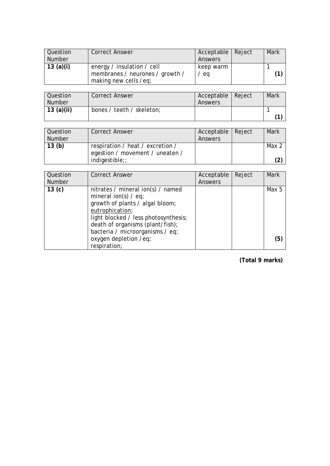| Question      | <b>Correct Answer</b>           | Acceptable   Reject | <b>Mark</b> |
|---------------|---------------------------------|---------------------|-------------|
| <b>Number</b> |                                 | Answers             |             |
| 13 $(a)(i)$   | energy / insulation / cell      | keep warm           |             |
|               | membranes / neurones / growth / | eq                  |             |
|               | making new cells /eq;           |                     |             |

| Question<br><b>Number</b> | <b>Correct Answer</b>     | Acceptable   Reject<br>Answers | Mark |
|---------------------------|---------------------------|--------------------------------|------|
| 13 $(a)(ii)$              | bones / teeth / skeleton; |                                |      |

| Question | <b>Correct Answer</b>            | Acceptable   Reject | Mark    |
|----------|----------------------------------|---------------------|---------|
| Number   |                                  | Answers             |         |
| 13(b)    | respiration / heat / excretion / |                     | Max $2$ |
|          | egestion / movement / uneaten /  |                     |         |
|          | $indigestible$ ;                 |                     |         |

| Question<br><b>Number</b> | <b>Correct Answer</b>                                                                                                                                                                                                            | Acceptable<br>Answers | Reject | <b>Mark</b> |
|---------------------------|----------------------------------------------------------------------------------------------------------------------------------------------------------------------------------------------------------------------------------|-----------------------|--------|-------------|
| 13 <sub>(c)</sub>         | nitrates / mineral ion(s) / named<br>mineral ion(s) $/$ eq;<br>growth of plants / algal bloom;<br>eutrophication;<br>light blocked / less photosynthesis;<br>death of organisms (plant/fish);<br>bacteria / microorganisms / eq; |                       |        | Max 5       |
|                           | oxygen depletion /eq;<br>respiration;                                                                                                                                                                                            |                       |        | (5          |

**(Total 9 marks)**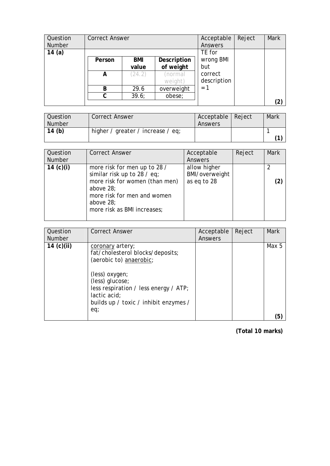| Question<br>Number | <b>Correct Answer</b> |        |             | Acceptable<br>Answers | Reject | <b>Mark</b> |
|--------------------|-----------------------|--------|-------------|-----------------------|--------|-------------|
| 14 $(a)$           |                       |        |             | TE for                |        |             |
|                    | Person                | BMI    | Description | wrong BMI             |        |             |
|                    |                       | value  | of weight   | but                   |        |             |
|                    | А                     | (24.2) | (normal     | correct               |        |             |
|                    |                       |        | weight)     | description           |        |             |
|                    | B                     | 29.6   | overweight  | $= 1$                 |        |             |
|                    | C                     | 39.6;  | obese;      |                       |        |             |
|                    |                       |        |             |                       |        | (2)         |

| Question | Correct Answer                    | Acceptable   Reject | Mark |
|----------|-----------------------------------|---------------------|------|
| Number   |                                   | Answers             |      |
| 14 $(b)$ | higher / greater / increase / eq; |                     |      |
|          |                                   |                     |      |

| Question<br><b>Number</b> | <b>Correct Answer</b>                                                                                                                                                                   | Acceptable<br>Answers                         | Reject | <b>Mark</b> |
|---------------------------|-----------------------------------------------------------------------------------------------------------------------------------------------------------------------------------------|-----------------------------------------------|--------|-------------|
| 14 $(c)(i)$               | more risk for men up to 28 /<br>similar risk up to 28 $/$ eq;<br>more risk for women (than men)<br>above 28;<br>more risk for men and women<br>above 28;<br>more risk as BMI increases; | allow higher<br>BMI/overweight<br>as eq to 28 |        |             |

| Question<br><b>Number</b> | <b>Correct Answer</b>                                                                                                                                                                                                         | Acceptable<br>Answers | Reject | <b>Mark</b> |
|---------------------------|-------------------------------------------------------------------------------------------------------------------------------------------------------------------------------------------------------------------------------|-----------------------|--------|-------------|
| 14 $(c)(ii)$              | coronary artery;<br>fat/cholesterol blocks/deposits;<br>(aerobic to) anaerobic;<br>(less) oxygen;<br>(less) glucose;<br>less respiration / less energy / ATP;<br>lactic acid;<br>builds up / toxic / inhibit enzymes /<br>eq; |                       |        | Max 5       |
|                           |                                                                                                                                                                                                                               |                       |        | (5)         |

**(Total 10 marks)**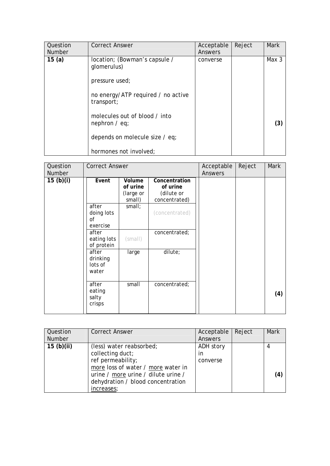| Question<br><b>Number</b> | <b>Correct Answer</b>                                          | Acceptable<br>Answers | Reject | <b>Mark</b> |
|---------------------------|----------------------------------------------------------------|-----------------------|--------|-------------|
| 15(a)                     | location; (Bowman's capsule /<br>glomerulus)<br>pressure used; | converse              |        | Max 3       |
|                           | no energy/ATP required / no active<br>transport;               |                       |        |             |
|                           | molecules out of blood / into<br>nephron $/$ eq;               |                       |        | (3)         |
|                           | depends on molecule size / eq;                                 |                       |        |             |
|                           | hormones not involved;                                         |                       |        |             |

| Question<br><b>Number</b> | <b>Correct Answer</b>                 |                                           |                                                          | Acceptable<br><b>Answers</b> | Reject | Mark |
|---------------------------|---------------------------------------|-------------------------------------------|----------------------------------------------------------|------------------------------|--------|------|
| 15 $(b)(i)$               | Event                                 | Volume<br>of urine<br>(large or<br>small) | Concentration<br>of urine<br>(dilute or<br>concentrated) |                              |        |      |
|                           | after<br>doing lots<br>0f<br>exercise | small;                                    | (concentrated)                                           |                              |        |      |
|                           | after<br>eating lots<br>of protein    | (smail)                                   | concentrated;                                            |                              |        |      |
|                           | after<br>drinking<br>lots of<br>water | large                                     | dilute;                                                  |                              |        |      |
|                           | after<br>eating<br>salty<br>crisps    | small                                     | concentrated;                                            |                              |        | (4)  |

| Question<br>Number | <b>Correct Answer</b>                                                                                                                                                                             | Acceptable<br>Answers              | Reject | <b>Mark</b> |
|--------------------|---------------------------------------------------------------------------------------------------------------------------------------------------------------------------------------------------|------------------------------------|--------|-------------|
| 15(b)(ii)          | (less) water reabsorbed;<br>collecting duct;<br>ref permeability;<br>more loss of water / more water in<br>urine / more urine / dilute urine /<br>dehydration / blood concentration<br>increases; | ADH story<br><i>in</i><br>converse |        | 4<br>(4     |